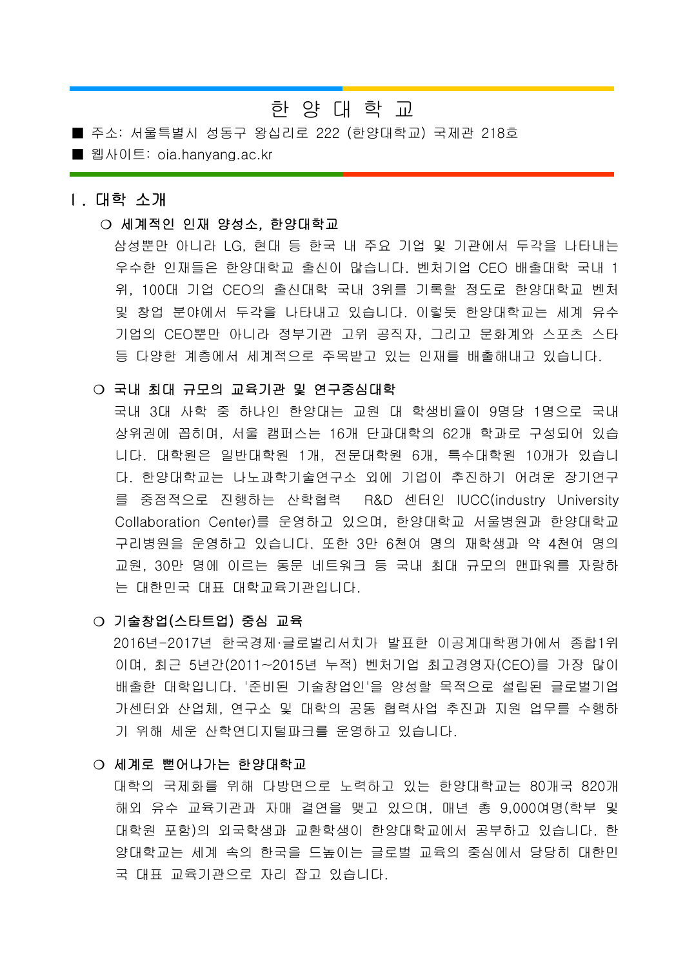## 한 양 대 학 교

■ 주소: 서울특별시 성동구 왕십리로 222 (한양대학교) 국제관 218호 ■ 웹사이트: oia.hanyang.ac.kr

## Ⅰ. 대학 소개

#### ❍ 세계적인 인재 양성소, 한양대학교

 삼성뿐만 아니라 LG, 현대 등 한국 내 주요 기업 및 기관에서 두각을 나타내는 우수한 인재들은 한양대학교 출신이 많습니다. 벤처기업 CEO 배출대학 국내 1 위, 100대 기업 CEO의 출신대학 국내 3위를 기록할 정도로 한양대학교 벤처 및 창업 분야에서 두각을 나타내고 있습니다. 이렇듯 한양대학교는 세계 유수 기업의 CEO뿐만 아니라 정부기관 고위 공직자, 그리고 문화계와 스포츠 스타 등 다양한 계층에서 세계적으로 주목받고 있는 인재를 배출해내고 있습니다.

#### ❍ 국내 최대 규모의 교육기관 및 연구중심대학

 국내 3대 사학 중 하나인 한양대는 교원 대 학생비율이 9명당 1명으로 국내 상위권에 꼽히며, 서울 캠퍼스는 16개 단과대학의 62개 학과로 구성되어 있습 니다. 대학원은 일반대학원 1개, 전문대학원 6개, 특수대학원 10개가 있습니 다. 한양대학교는 나노과학기술연구소 외에 기업이 추진하기 어려운 장기연구 를 중점적으로 진행하는 산학협력 R&D 센터인 IUCC(industry University Collaboration Center)를 운영하고 있으며, 한양대학교 서울병원과 한양대학교 구리병원을 운영하고 있습니다. 또한 3만 6천여 명의 재학생과 약 4천여 명의 교원, 30만 명에 이르는 동문 네트워크 등 국내 최대 규모의 맨파워를 자랑하 는 대한민국 대표 대학교육기관입니다.

#### ❍ 기술창업(스타트업) 중심 교육

 2016년-2017년 한국경제·글로벌리서치가 발표한 이공계대학평가에서 종합1위 이며, 최근 5년간(2011~2015년 누적) 벤처기업 최고경영자(CEO)를 가장 많이 배출한 대학입니다. '준비된 기술창업인'을 양성할 목적으로 설립된 글로벌기업 가센터와 산업체, 연구소 및 대학의 공동 협력사업 추진과 지원 업무를 수행하 기 위해 세운 산학연디지털파크를 운영하고 있습니다.

### ❍ 세계로 뻗어나가는 한양대학교

 대학의 국제화를 위해 다방면으로 노력하고 있는 한양대학교는 80개국 820개 해외 유수 교육기관과 자매 결연을 맺고 있으며, 매년 총 9,000여명(학부 및 대학원 포함)의 외국학생과 교환학생이 한양대학교에서 공부하고 있습니다. 한 양대학교는 세계 속의 한국을 드높이는 글로벌 교육의 중심에서 당당히 대한민 국 대표 교육기관으로 자리 잡고 있습니다.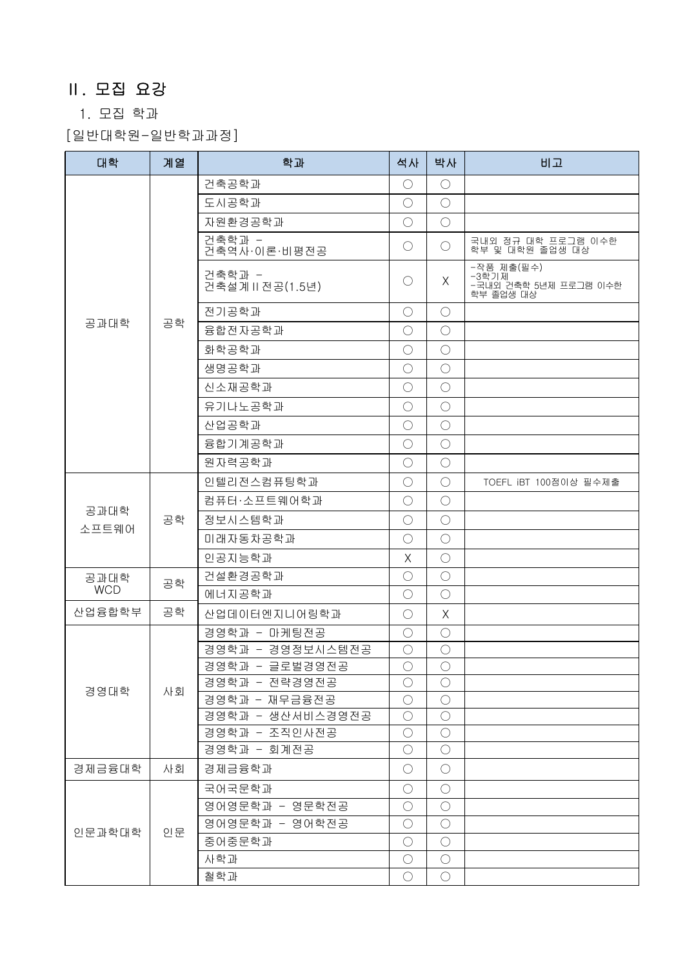# Ⅱ. 모집 요강

1. 모집 학과

[일반대학원-일반학과과정]

| 대학         | 계열 | 학과                         | 석사                                          | 박사         | 비고                                                        |
|------------|----|----------------------------|---------------------------------------------|------------|-----------------------------------------------------------|
|            |    | 건축공학과                      | $\bigcirc$                                  | $\bigcirc$ |                                                           |
|            |    | 도시공학과                      | $\bigcirc$                                  | $\bigcirc$ |                                                           |
|            |    | 자원환경공학과                    | O                                           | $\bigcirc$ |                                                           |
|            |    | 건축학과 -<br>건축역사·이론·비평전공     | O                                           | O          | 국내외 정규 대학 프로그램 이수한<br>학부 및 대학원 졸업생 대상                     |
|            |    | 건축학과 -<br>건축설계 II 전공(1.5년) | $\left(\begin{array}{c} \end{array}\right)$ | X          | -작품 제출(필수)<br>-3학기제<br>-국내외 건축학 5년제 프로그램 이수한<br>학부 졸업생 대상 |
|            |    | 전기공학과                      | $\bigcirc$                                  | $\bigcirc$ |                                                           |
| 공과대학       | 공학 | 융합전자공학과                    | $\bigcirc$                                  | $\bigcirc$ |                                                           |
|            |    | 화학공학과                      | $\bigcirc$                                  | $\bigcirc$ |                                                           |
|            |    | 생명공학과                      | $\bigcirc$                                  | $\bigcirc$ |                                                           |
|            |    | 신소재공학과                     | O                                           | $\bigcirc$ |                                                           |
|            |    | 유기나노공학과                    | $\bigcirc$                                  | $\bigcirc$ |                                                           |
|            |    | 산업공학과                      | $\bigcirc$                                  | $\bigcirc$ |                                                           |
|            |    | 융합기계공학과                    | $\bigcirc$                                  | $\bigcirc$ |                                                           |
|            |    | 원자력공학과                     | $\bigcirc$                                  | $\bigcirc$ |                                                           |
|            |    | 인텔리전스컴퓨팅학과                 | $\bigcirc$                                  | $\bigcirc$ | TOEFL iBT 100점이상 필수제출                                     |
|            |    | 컴퓨터·소프트웨어학과                | O                                           | $\bigcirc$ |                                                           |
| 공과대학       | 공학 | 정보시스템학과                    | $\bigcirc$                                  | $\bigcirc$ |                                                           |
| 소프트웨어      |    | 미래자동차공학과                   | O                                           | $\bigcirc$ |                                                           |
|            |    | 인공지능학과                     | $\mathsf X$                                 | $\bigcirc$ |                                                           |
| 공과대학       |    | 건설환경공학과                    | $\bigcirc$                                  | $\bigcirc$ |                                                           |
| <b>WCD</b> | 공학 | 에너지공학과                     | O                                           | $\bigcirc$ |                                                           |
| 산업융합학부     | 공학 | 산업데이터엔지니어링학과               | $\bigcirc$                                  | X          |                                                           |
|            |    | 경영학과 - 마케팅전공               | $\bigcirc$                                  | $\bigcirc$ |                                                           |
|            |    | 경영학과 - 경영정보시스템전공           | $\bigcirc$                                  | $\bigcirc$ |                                                           |
|            |    | 경영학과 - 글로벌경영전공             | $\bigcirc$                                  | $\bigcirc$ |                                                           |
| 경영대학       | 사회 | 경영학과 - 전략경영전공              | $\bigcirc$                                  | $\bigcirc$ |                                                           |
|            |    | 경영학과 - 재무금융전공              | $\bigcirc$                                  | $\bigcirc$ |                                                           |
|            |    | 경영학과 - 생산서비스경영전공           | $\bigcirc$                                  | $\bigcirc$ |                                                           |
|            |    | 경영학과 - 조직인사전공              | $\bigcirc$                                  | $\bigcirc$ |                                                           |
|            |    | 경영학과 - 회계전공                | $\bigcirc$                                  | $\bigcirc$ |                                                           |
| 경제금융대학     | 사회 | 경제금융학과                     | $\left(\begin{array}{c} \end{array}\right)$ | $\bigcirc$ |                                                           |
|            |    | 국어국문학과                     | $\bigcirc$                                  | $\bigcirc$ |                                                           |
|            |    | 영어영문학과 - 영문학전공             | $\bigcirc$                                  | $\bigcirc$ |                                                           |
| 인문과학대학     | 인문 | 영어영문학과 - 영어학전공             | $\bigcirc$                                  | $\bigcirc$ |                                                           |
|            |    | 중어중문학과                     | $\bigcirc$                                  | $\bigcirc$ |                                                           |
|            |    | 사학과                        | $\bigcirc$                                  | $\bigcirc$ |                                                           |
|            |    | 철학과                        | $\bigcirc$                                  | $\bigcirc$ |                                                           |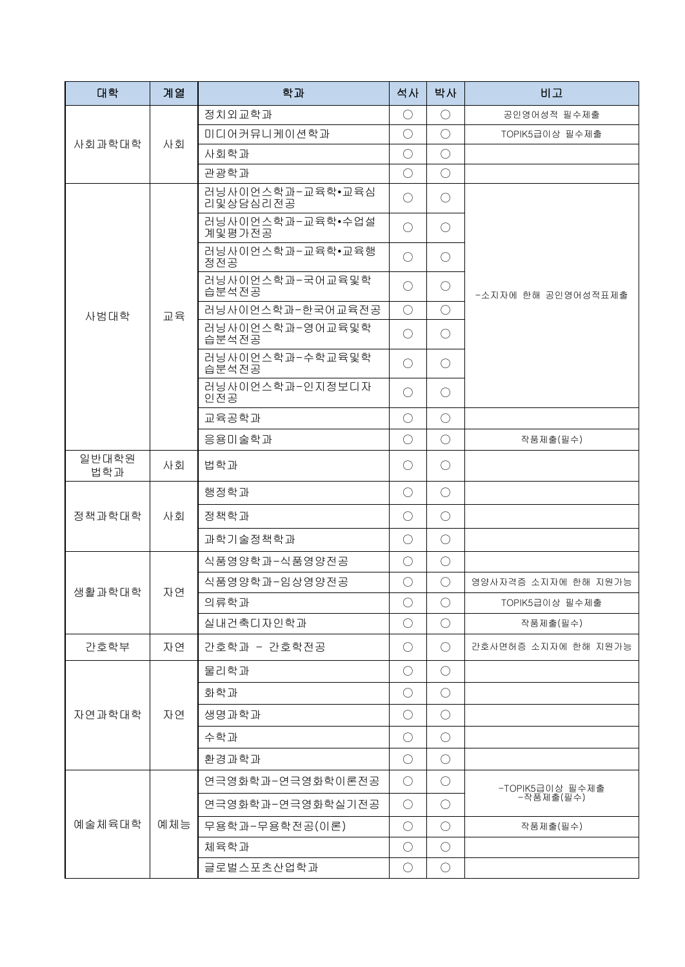| 대학           | 계열  | 학과                           | 석사         | 박사         | 비고                  |
|--------------|-----|------------------------------|------------|------------|---------------------|
|              |     | 정치외교학과                       | $\bigcirc$ | $\bigcirc$ | 공인영어성적 필수제출         |
| 사회과학대학       |     | 미디어커뮤니케이션학과                  | $\bigcirc$ | $\bigcirc$ | TOPIK5급이상 필수제출      |
|              | 사회  | 사회학과                         | $\bigcirc$ | $\bigcirc$ |                     |
|              |     | 관광학과                         | $\bigcirc$ | $\bigcirc$ |                     |
|              |     | 러닝사이언스학과-교육학·교육심<br>리및상담심리전공 | $\bigcirc$ | $\bigcirc$ |                     |
|              |     | 러닝사이언스학과-교육학·수업설<br>계및평가전공   | $\bigcirc$ | O          |                     |
|              |     | 러닝사이언스학과-교육학•교육행<br>정전공      | $\bigcirc$ | $\bigcirc$ |                     |
|              |     | 러닝사이언스학과-국어교육및학<br>습분석전공     | $\bigcirc$ | $\bigcirc$ | -소지자에 한해 공인영어성적표제출  |
| 사범대학         | 교육  | 러닝사이언스학과-한국어교육전공             | $\bigcirc$ | $\bigcirc$ |                     |
|              |     | 러닝사이언스학과-영어교육및학<br>습분석전공     | $\bigcirc$ | $\bigcirc$ |                     |
|              |     | 러닝사이언스학과-수학교육및학<br>습분석전공     | $\bigcirc$ | $\bigcirc$ |                     |
|              |     | 러닝사이언스학과-인지정보디자<br>인전공       | $\bigcirc$ | $\bigcirc$ |                     |
|              |     | 교육공학과                        | $\bigcirc$ | $\bigcirc$ |                     |
|              |     | 응용미술학과                       | $\bigcirc$ | $\bigcirc$ | 작품제출(필수)            |
| 일반대학원<br>법학과 | 사회  | 법학과                          | $\bigcirc$ | $\bigcirc$ |                     |
|              | 사회  | 행정학과                         | $\bigcirc$ | $\bigcirc$ |                     |
| 정책과학대학       |     | 정책학과                         | $\bigcirc$ | $\bigcirc$ |                     |
|              |     | 과학기술정책학과                     | $\bigcirc$ | $\bigcirc$ |                     |
|              |     | 식품영양학과-식품영양전공                | $\bigcirc$ | $\bigcirc$ |                     |
|              |     | 식품영양학과-임상영양전공                | $\bigcirc$ | $\bigcirc$ | 영양사자격증 소지자에 한해 지원가능 |
| 생활과학대학       | 자연  | 의류학과                         | $\bigcirc$ | $\bigcirc$ | TOPIK5급이상 필수제출      |
|              |     | 실내건축디자인학과                    | $\bigcirc$ | $\bigcirc$ | 작품제출(필수)            |
| 간호학부         | 자연  | 간호학과 - 간호학전공                 | $\bigcirc$ | $\bigcirc$ | 간호사면허증 소지자에 한해 지원가능 |
|              |     | 물리학과                         | $\bigcirc$ | $\bigcirc$ |                     |
|              |     | 화학과                          | $\bigcirc$ | $\bigcirc$ |                     |
| 자연과학대학       | 자연  | 생명과학과                        | $\bigcirc$ | $\bigcirc$ |                     |
|              |     | 수학과                          | $\bigcirc$ | $\bigcirc$ |                     |
|              |     | 환경과학과                        | $\bigcirc$ | $\bigcirc$ |                     |
|              |     | 연극영화학과-연극영화학이론전공             | $\bigcirc$ | $\bigcirc$ | -TOPIK5급이상 필수제출     |
|              |     | 연극영화학과-연극영화학실기전공             | $\bigcirc$ | $\bigcirc$ | -작품제출(필수)           |
| 예술체육대학       | 예체능 | 무용학과-무용학전공(이론)               | $\bigcirc$ | $\bigcirc$ | 작품제출(필수)            |
|              |     | 체육학과                         | $\bigcirc$ | $\bigcirc$ |                     |
|              |     | 글로벌스포츠산업학과                   | $\bigcirc$ | $\bigcirc$ |                     |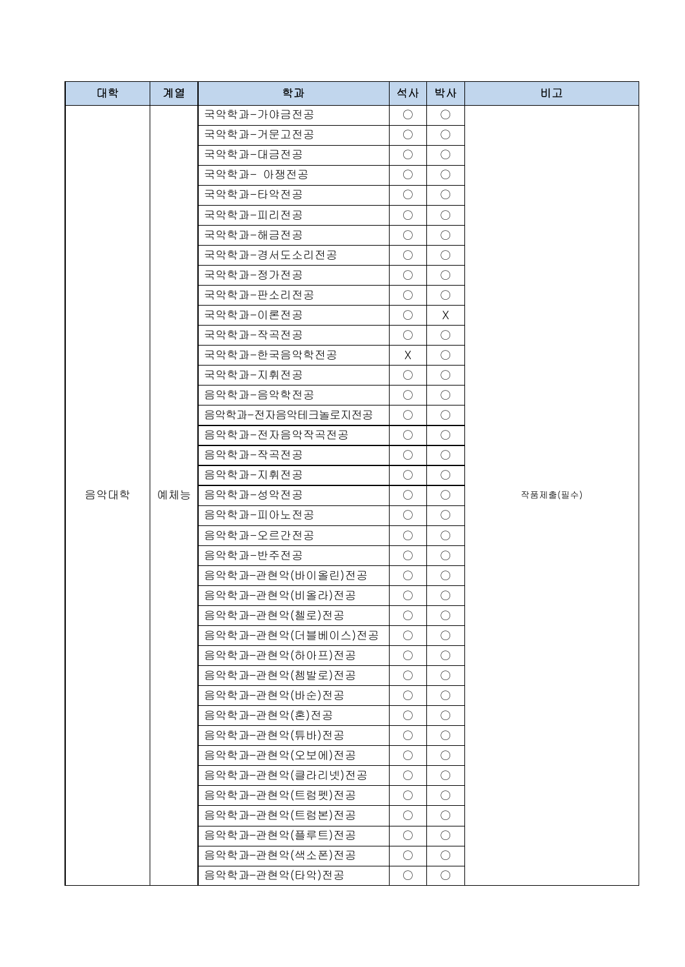| 대학   | 계열  | 학과                | 석사         | 박사         | 비고        |            |            |  |
|------|-----|-------------------|------------|------------|-----------|------------|------------|--|
|      |     | 국악학과-가야금전공        | $\bigcirc$ | $\bigcirc$ |           |            |            |  |
|      |     | 국악학과-거문고전공        | $\bigcirc$ | $\bigcirc$ |           |            |            |  |
|      |     | 국악학과-대금전공         | $\bigcirc$ | $\bigcirc$ |           |            |            |  |
|      |     | 국악학과- 아쟁전공        | $\bigcirc$ | $\bigcirc$ |           |            |            |  |
|      |     | 국악학과-타악전공         | $\bigcirc$ | $\bigcirc$ |           |            |            |  |
|      |     |                   |            |            | 국악학과-피리전공 | $\bigcirc$ | $\bigcirc$ |  |
|      |     | 국악학과-해금전공         | $\bigcirc$ | $\bigcirc$ |           |            |            |  |
|      |     | 국악학과-경서도소리전공      | $\bigcirc$ | $\bigcirc$ |           |            |            |  |
|      |     | 국악학과-정가전공         | $\bigcirc$ | $\bigcirc$ |           |            |            |  |
|      |     | 국악학과-판소리전공        | $\bigcirc$ | $\bigcirc$ |           |            |            |  |
|      |     | 국악학과-이론전공         | $\bigcirc$ | Χ          |           |            |            |  |
|      |     | 국악학과-작곡전공         | $\bigcirc$ | $\bigcirc$ |           |            |            |  |
|      |     | 국악학과-한국음악학전공      | X          | $\bigcirc$ |           |            |            |  |
|      |     | 국악학과-지휘전공         | $\bigcirc$ | $\bigcirc$ |           |            |            |  |
|      |     | 음악학과-음악학전공        | $\bigcirc$ | $\bigcirc$ |           |            |            |  |
|      |     | 음악학과-전자음악테크놀로지전공  | $\bigcirc$ | $\bigcirc$ |           |            |            |  |
|      | 예체능 | 음악학과-전자음악작곡전공     | $\bigcirc$ | $\bigcirc$ |           |            |            |  |
|      |     | 음악학과-작곡전공         | $\bigcirc$ | $\bigcirc$ |           |            |            |  |
|      |     | 음악학과-지휘전공         | $\bigcirc$ | $\bigcirc$ |           |            |            |  |
| 음악대학 |     | 음악학과-성악전공         | $\bigcirc$ | O          | 작품제출(필수)  |            |            |  |
|      |     | 음악학과-피아노전공        | $\bigcirc$ | $\bigcirc$ |           |            |            |  |
|      |     | 음악학과-오르간전공        | $\bigcirc$ | $\bigcirc$ |           |            |            |  |
|      |     | 음악학과-반주전공         | $\bigcirc$ | $\bigcirc$ |           |            |            |  |
|      |     | 음악학과-관현악(바이올린)전공  | $\bigcirc$ | $\bigcirc$ |           |            |            |  |
|      |     | 음악학과-관현악(비올라)전공   | $\bigcirc$ | $\bigcirc$ |           |            |            |  |
|      |     | 음악학과-관현악(첼로)전공    | $\bigcirc$ | $\bigcirc$ |           |            |            |  |
|      |     | 음악학과-관현악(더블베이스)전공 | $\bigcirc$ | $\bigcirc$ |           |            |            |  |
|      |     | 음악학과-관현악(하아프)전공   | $\bigcirc$ | $\bigcirc$ |           |            |            |  |
|      |     | 음악학과-관현악(쳄발로)전공   | $\bigcirc$ | $\bigcirc$ |           |            |            |  |
|      |     | 음악학과-관현악(바순)전공    | $\bigcirc$ | $\bigcirc$ |           |            |            |  |
|      |     | 음악학과-관현악(혼)전공     | $\bigcirc$ | $\bigcirc$ |           |            |            |  |
|      |     | 음악학과-관현악(튜바)전공    | $\bigcirc$ | $\bigcirc$ |           |            |            |  |
|      |     | 음악학과-관현악(오보에)전공   | $\bigcirc$ | $\bigcirc$ |           |            |            |  |
|      |     | 음악학과-관현악(클라리넷)전공  | $\bigcirc$ | $\bigcirc$ |           |            |            |  |
|      |     | 음악학과-관현악(트럼펫)전공   | $\bigcirc$ | $\bigcirc$ |           |            |            |  |
|      |     | 음악학과-관현악(트럼본)전공   | $\bigcirc$ | $\bigcirc$ |           |            |            |  |
|      |     | 음악학과-관현악(플루트)전공   | $\bigcirc$ | $\bigcirc$ |           |            |            |  |
|      |     | 음악학과-관현악(색소폰)전공   | $\bigcirc$ | $\bigcirc$ |           |            |            |  |
|      |     | 음악학과-관현악(타악)전공    | $\bigcirc$ | $\bigcirc$ |           |            |            |  |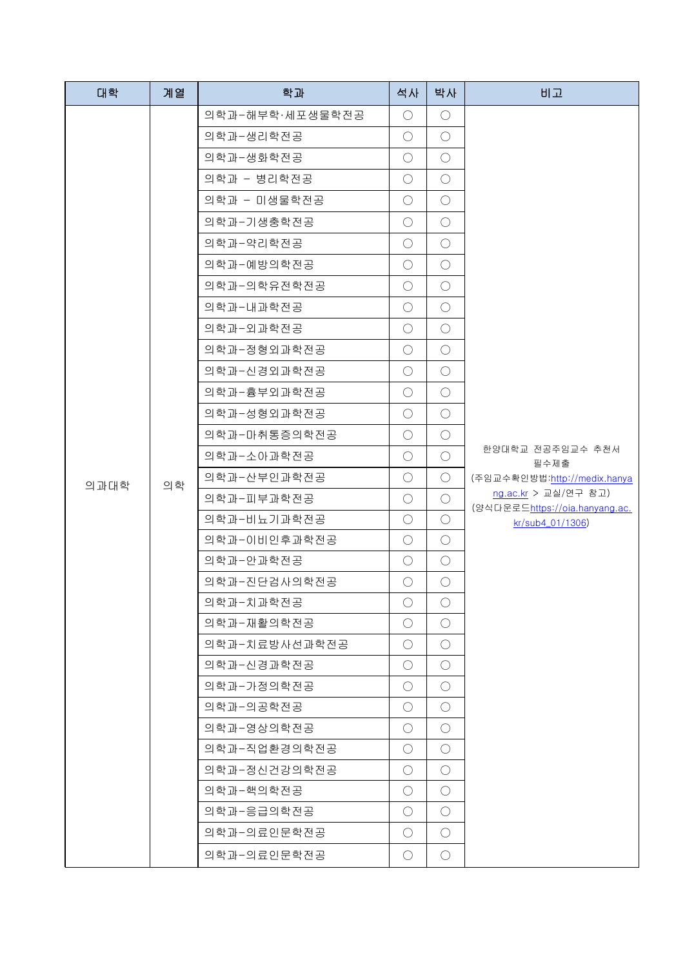| 의학과-해부학·세포생물학전공<br>$\bigcirc$<br>$\bigcirc$<br>$\bigcirc$<br>의학과-생리학전공<br>$\bigcirc$<br>의학과-생화학전공<br>$\bigcirc$<br>$\bigcirc$<br>의학과 - 병리학전공<br>$\bigcirc$<br>O<br>의학과 - 미생물학전공<br>$\bigcirc$<br>O<br>의학과-기생충학전공<br>$\bigcirc$<br>$\bigcirc$<br>의학과-약리학전공<br>$\bigcirc$<br>$\bigcirc$<br>$\bigcirc$<br>의학과-예방의학전공<br>$\bigcirc$<br>의학과-의학유전학전공<br>$\bigcirc$<br>$\bigcirc$<br>$\bigcirc$<br>의학과-내과학전공<br>$\bigcirc$<br>의학과-외과학전공<br>$\bigcirc$<br>$\bigcirc$<br>의학과-정형외과학전공<br>$\bigcirc$<br>$\bigcirc$<br>의학과-신경외과학전공<br>$\bigcirc$<br>$\bigcirc$<br>의학과-흉부외과학전공<br>$\bigcirc$<br>$\bigcirc$<br>의학과-성형외과학전공<br>$\bigcirc$<br>O<br>의학과-마취통증의학전공<br>$\bigcirc$<br>O<br>한양대학교 전공주임교수 추천서<br>의학과-소아과학전공<br>$\bigcirc$<br>$\bigcirc$<br>필수제출<br>의학과-산부인과학전공<br>$\bigcirc$<br>$\bigcirc$<br>(주임교수확인방법:http://medix.hanya<br>의과대학<br>의학<br>ng.ac.kr > 교실/연구 참고)<br>의학과-피부과학전공<br>$\bigcirc$<br>$\bigcirc$<br>(양식다운로드https://oia.hanyang.ac.<br>의학과-비뇨기과학전공<br>$\bigcirc$<br>$\bigcirc$<br>kr/sub4_01/1306)<br>의학과-이비인후과학전공<br>$\bigcirc$<br>$\bigcirc$<br>의학과-안과학전공<br>$\bigcirc$<br>$\bigcirc$<br>의학과-진단검사의학전공<br>$\bigcirc$<br>$\bigcirc$<br>의학과-치과학전공<br>$\bigcirc$<br>$\bigcirc$<br>의학과-재활의학전공<br>$\bigcirc$<br>$\bigcirc$<br>$\bigcirc$<br>의학과-치료방사선과학전공<br>$\bigcirc$<br>$\bigcirc$<br>의학과-신경과학전공<br>$\bigcirc$<br>$\bigcirc$<br>의학과-가정의학전공<br>$\bigcirc$<br>$\bigcirc$<br>의학과-의공학전공<br>$\bigcirc$<br>$\bigcirc$<br>의학과-영상의학전공<br>$\bigcirc$<br>의학과-직업환경의학전공<br>$\bigcirc$<br>$\bigcirc$<br>$\bigcirc$<br>의학과-정신건강의학전공<br>$\bigcirc$<br>의학과-핵의학전공<br>$\bigcirc$<br>$\bigcirc$<br>의학과-응급의학전공<br>$\bigcirc$<br>$\bigcirc$ | 대학 | 계열 | 학과          | 석사         | 박사         | 비고 |
|-------------------------------------------------------------------------------------------------------------------------------------------------------------------------------------------------------------------------------------------------------------------------------------------------------------------------------------------------------------------------------------------------------------------------------------------------------------------------------------------------------------------------------------------------------------------------------------------------------------------------------------------------------------------------------------------------------------------------------------------------------------------------------------------------------------------------------------------------------------------------------------------------------------------------------------------------------------------------------------------------------------------------------------------------------------------------------------------------------------------------------------------------------------------------------------------------------------------------------------------------------------------------------------------------------------------------------------------------------------------------------------------------------------------------------------------------------------------------------------------------------------------------------------------------------------------------------------------------------------------------|----|----|-------------|------------|------------|----|
|                                                                                                                                                                                                                                                                                                                                                                                                                                                                                                                                                                                                                                                                                                                                                                                                                                                                                                                                                                                                                                                                                                                                                                                                                                                                                                                                                                                                                                                                                                                                                                                                                         |    |    |             |            |            |    |
|                                                                                                                                                                                                                                                                                                                                                                                                                                                                                                                                                                                                                                                                                                                                                                                                                                                                                                                                                                                                                                                                                                                                                                                                                                                                                                                                                                                                                                                                                                                                                                                                                         |    |    |             |            |            |    |
|                                                                                                                                                                                                                                                                                                                                                                                                                                                                                                                                                                                                                                                                                                                                                                                                                                                                                                                                                                                                                                                                                                                                                                                                                                                                                                                                                                                                                                                                                                                                                                                                                         |    |    |             |            |            |    |
|                                                                                                                                                                                                                                                                                                                                                                                                                                                                                                                                                                                                                                                                                                                                                                                                                                                                                                                                                                                                                                                                                                                                                                                                                                                                                                                                                                                                                                                                                                                                                                                                                         |    |    |             |            |            |    |
|                                                                                                                                                                                                                                                                                                                                                                                                                                                                                                                                                                                                                                                                                                                                                                                                                                                                                                                                                                                                                                                                                                                                                                                                                                                                                                                                                                                                                                                                                                                                                                                                                         |    |    |             |            |            |    |
|                                                                                                                                                                                                                                                                                                                                                                                                                                                                                                                                                                                                                                                                                                                                                                                                                                                                                                                                                                                                                                                                                                                                                                                                                                                                                                                                                                                                                                                                                                                                                                                                                         |    |    |             |            |            |    |
|                                                                                                                                                                                                                                                                                                                                                                                                                                                                                                                                                                                                                                                                                                                                                                                                                                                                                                                                                                                                                                                                                                                                                                                                                                                                                                                                                                                                                                                                                                                                                                                                                         |    |    |             |            |            |    |
|                                                                                                                                                                                                                                                                                                                                                                                                                                                                                                                                                                                                                                                                                                                                                                                                                                                                                                                                                                                                                                                                                                                                                                                                                                                                                                                                                                                                                                                                                                                                                                                                                         |    |    |             |            |            |    |
|                                                                                                                                                                                                                                                                                                                                                                                                                                                                                                                                                                                                                                                                                                                                                                                                                                                                                                                                                                                                                                                                                                                                                                                                                                                                                                                                                                                                                                                                                                                                                                                                                         |    |    |             |            |            |    |
|                                                                                                                                                                                                                                                                                                                                                                                                                                                                                                                                                                                                                                                                                                                                                                                                                                                                                                                                                                                                                                                                                                                                                                                                                                                                                                                                                                                                                                                                                                                                                                                                                         |    |    |             |            |            |    |
|                                                                                                                                                                                                                                                                                                                                                                                                                                                                                                                                                                                                                                                                                                                                                                                                                                                                                                                                                                                                                                                                                                                                                                                                                                                                                                                                                                                                                                                                                                                                                                                                                         |    |    |             |            |            |    |
|                                                                                                                                                                                                                                                                                                                                                                                                                                                                                                                                                                                                                                                                                                                                                                                                                                                                                                                                                                                                                                                                                                                                                                                                                                                                                                                                                                                                                                                                                                                                                                                                                         |    |    |             |            |            |    |
|                                                                                                                                                                                                                                                                                                                                                                                                                                                                                                                                                                                                                                                                                                                                                                                                                                                                                                                                                                                                                                                                                                                                                                                                                                                                                                                                                                                                                                                                                                                                                                                                                         |    |    |             |            |            |    |
|                                                                                                                                                                                                                                                                                                                                                                                                                                                                                                                                                                                                                                                                                                                                                                                                                                                                                                                                                                                                                                                                                                                                                                                                                                                                                                                                                                                                                                                                                                                                                                                                                         |    |    |             |            |            |    |
|                                                                                                                                                                                                                                                                                                                                                                                                                                                                                                                                                                                                                                                                                                                                                                                                                                                                                                                                                                                                                                                                                                                                                                                                                                                                                                                                                                                                                                                                                                                                                                                                                         |    |    |             |            |            |    |
|                                                                                                                                                                                                                                                                                                                                                                                                                                                                                                                                                                                                                                                                                                                                                                                                                                                                                                                                                                                                                                                                                                                                                                                                                                                                                                                                                                                                                                                                                                                                                                                                                         |    |    |             |            |            |    |
|                                                                                                                                                                                                                                                                                                                                                                                                                                                                                                                                                                                                                                                                                                                                                                                                                                                                                                                                                                                                                                                                                                                                                                                                                                                                                                                                                                                                                                                                                                                                                                                                                         |    |    |             |            |            |    |
|                                                                                                                                                                                                                                                                                                                                                                                                                                                                                                                                                                                                                                                                                                                                                                                                                                                                                                                                                                                                                                                                                                                                                                                                                                                                                                                                                                                                                                                                                                                                                                                                                         |    |    |             |            |            |    |
|                                                                                                                                                                                                                                                                                                                                                                                                                                                                                                                                                                                                                                                                                                                                                                                                                                                                                                                                                                                                                                                                                                                                                                                                                                                                                                                                                                                                                                                                                                                                                                                                                         |    |    |             |            |            |    |
|                                                                                                                                                                                                                                                                                                                                                                                                                                                                                                                                                                                                                                                                                                                                                                                                                                                                                                                                                                                                                                                                                                                                                                                                                                                                                                                                                                                                                                                                                                                                                                                                                         |    |    |             |            |            |    |
|                                                                                                                                                                                                                                                                                                                                                                                                                                                                                                                                                                                                                                                                                                                                                                                                                                                                                                                                                                                                                                                                                                                                                                                                                                                                                                                                                                                                                                                                                                                                                                                                                         |    |    |             |            |            |    |
|                                                                                                                                                                                                                                                                                                                                                                                                                                                                                                                                                                                                                                                                                                                                                                                                                                                                                                                                                                                                                                                                                                                                                                                                                                                                                                                                                                                                                                                                                                                                                                                                                         |    |    |             |            |            |    |
|                                                                                                                                                                                                                                                                                                                                                                                                                                                                                                                                                                                                                                                                                                                                                                                                                                                                                                                                                                                                                                                                                                                                                                                                                                                                                                                                                                                                                                                                                                                                                                                                                         |    |    |             |            |            |    |
|                                                                                                                                                                                                                                                                                                                                                                                                                                                                                                                                                                                                                                                                                                                                                                                                                                                                                                                                                                                                                                                                                                                                                                                                                                                                                                                                                                                                                                                                                                                                                                                                                         |    |    |             |            |            |    |
|                                                                                                                                                                                                                                                                                                                                                                                                                                                                                                                                                                                                                                                                                                                                                                                                                                                                                                                                                                                                                                                                                                                                                                                                                                                                                                                                                                                                                                                                                                                                                                                                                         |    |    |             |            |            |    |
|                                                                                                                                                                                                                                                                                                                                                                                                                                                                                                                                                                                                                                                                                                                                                                                                                                                                                                                                                                                                                                                                                                                                                                                                                                                                                                                                                                                                                                                                                                                                                                                                                         |    |    |             |            |            |    |
|                                                                                                                                                                                                                                                                                                                                                                                                                                                                                                                                                                                                                                                                                                                                                                                                                                                                                                                                                                                                                                                                                                                                                                                                                                                                                                                                                                                                                                                                                                                                                                                                                         |    |    |             |            |            |    |
|                                                                                                                                                                                                                                                                                                                                                                                                                                                                                                                                                                                                                                                                                                                                                                                                                                                                                                                                                                                                                                                                                                                                                                                                                                                                                                                                                                                                                                                                                                                                                                                                                         |    |    |             |            |            |    |
|                                                                                                                                                                                                                                                                                                                                                                                                                                                                                                                                                                                                                                                                                                                                                                                                                                                                                                                                                                                                                                                                                                                                                                                                                                                                                                                                                                                                                                                                                                                                                                                                                         |    |    |             |            |            |    |
|                                                                                                                                                                                                                                                                                                                                                                                                                                                                                                                                                                                                                                                                                                                                                                                                                                                                                                                                                                                                                                                                                                                                                                                                                                                                                                                                                                                                                                                                                                                                                                                                                         |    |    |             |            |            |    |
|                                                                                                                                                                                                                                                                                                                                                                                                                                                                                                                                                                                                                                                                                                                                                                                                                                                                                                                                                                                                                                                                                                                                                                                                                                                                                                                                                                                                                                                                                                                                                                                                                         |    |    |             |            |            |    |
|                                                                                                                                                                                                                                                                                                                                                                                                                                                                                                                                                                                                                                                                                                                                                                                                                                                                                                                                                                                                                                                                                                                                                                                                                                                                                                                                                                                                                                                                                                                                                                                                                         |    |    |             |            |            |    |
|                                                                                                                                                                                                                                                                                                                                                                                                                                                                                                                                                                                                                                                                                                                                                                                                                                                                                                                                                                                                                                                                                                                                                                                                                                                                                                                                                                                                                                                                                                                                                                                                                         |    |    |             |            |            |    |
|                                                                                                                                                                                                                                                                                                                                                                                                                                                                                                                                                                                                                                                                                                                                                                                                                                                                                                                                                                                                                                                                                                                                                                                                                                                                                                                                                                                                                                                                                                                                                                                                                         |    |    |             |            |            |    |
|                                                                                                                                                                                                                                                                                                                                                                                                                                                                                                                                                                                                                                                                                                                                                                                                                                                                                                                                                                                                                                                                                                                                                                                                                                                                                                                                                                                                                                                                                                                                                                                                                         |    |    | 의학과-의료인문학전공 | $\bigcirc$ | $\bigcirc$ |    |
| 의학과-의료인문학전공<br>$\bigcirc$<br>$\bigcirc$                                                                                                                                                                                                                                                                                                                                                                                                                                                                                                                                                                                                                                                                                                                                                                                                                                                                                                                                                                                                                                                                                                                                                                                                                                                                                                                                                                                                                                                                                                                                                                                 |    |    |             |            |            |    |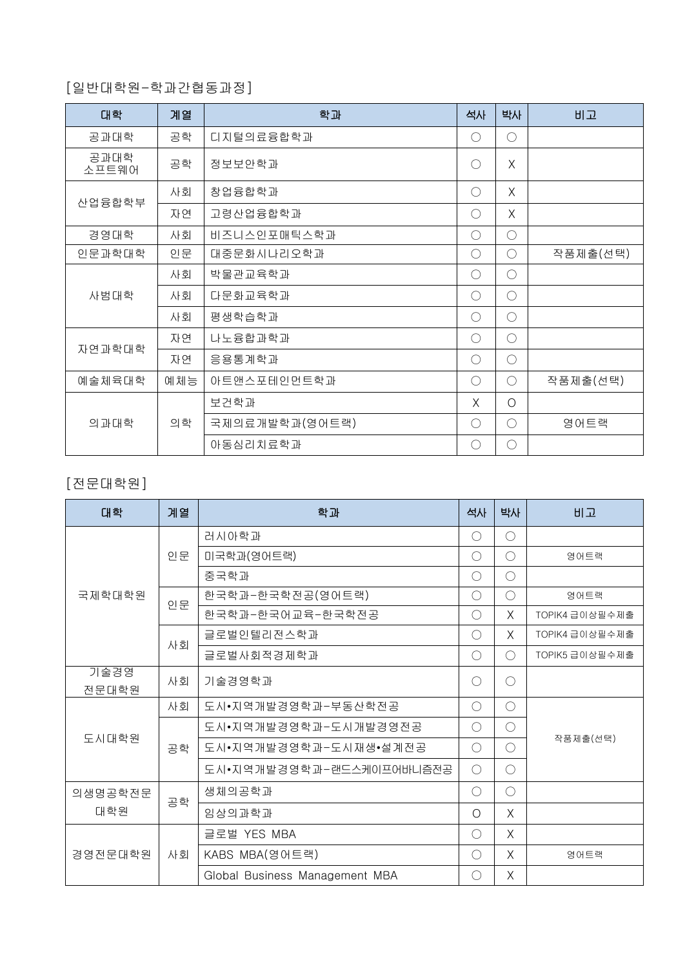## [일반대학원-학과간협동과정]

| 대학            | 계열  | 학과             | 석사         | 박사         | 비고       |
|---------------|-----|----------------|------------|------------|----------|
| 공과대학          | 공학  | 디지털의료융합학과      | $\bigcirc$ | $\bigcirc$ |          |
| 공과대학<br>소프트웨어 | 공학  | 정보보안학과         | ∩          | X          |          |
|               | 사회  | 창업융합학과         | ∩          | X          |          |
| 산업융합학부        | 자연  | 고령산업융합학과       | $\bigcirc$ | X          |          |
| 경영대학          | 사회  | 비즈니스인포매틱스학과    | $\bigcirc$ | $\bigcirc$ |          |
| 인문과학대학        | 인문  | 대중문화시나리오학과     | $\bigcirc$ | $\bigcirc$ | 작품제출(선택) |
|               | 사회  | 박물관교육학과        | $\bigcirc$ | $\bigcirc$ |          |
| 사범대학          | 사회  | 다문화교육학과        | ∩          | $\bigcirc$ |          |
|               | 사회  | 평생학습학과         | $\bigcirc$ | $\bigcirc$ |          |
|               | 자연  | 나노융합과학과        | $\bigcirc$ | $\bigcirc$ |          |
| 자연과학대학        | 자연  | 응용통계학과         | $\bigcirc$ | $\bigcirc$ |          |
| 예술체육대학        | 예체능 | 아트앤스포테인먼트학과    | ∩          | $\bigcirc$ | 작품제출(선택) |
| 의과대학          |     | 보건학과           | X          | $\circ$    |          |
|               | 의학  | 국제의료개발학과(영어트랙) | $\bigcirc$ | $\bigcirc$ | 영어트랙     |
|               |     | 아동심리치료학과       | ∩          | $\bigcirc$ |          |

# [전문대학원]

| 대학            | 계열 | 학과                             | 석사         | 박사         | 비고             |  |
|---------------|----|--------------------------------|------------|------------|----------------|--|
|               |    | 러시아학과                          | ◯          | $\bigcirc$ |                |  |
|               | 인문 | 미국학과(영어트랙)                     | ∩          | $\bigcirc$ | 영어트랙           |  |
|               |    | 중국학과                           | $\bigcirc$ | $\bigcirc$ |                |  |
| 국제학대학원        | 인문 | 한국학과-한국학전공(영어트랙)               | О          | $\bigcirc$ | 영어트랙           |  |
|               |    | 한국학과-한국어교육-한국학전공               | $\bigcirc$ | X          | TOPIK4 급이상필수제출 |  |
|               | 사회 | 글로벌인텔리전스학과                     | $\bigcirc$ | X          | TOPIK4 급이상필수제출 |  |
|               |    | 글로벌사회적경제학과                     | $\bigcirc$ | $\bigcirc$ | TOPIK5 급이상필수제출 |  |
| 기술경영<br>전문대학원 | 사회 | 기술경영학과                         | ∩          | $\bigcirc$ |                |  |
|               | 사회 | 도시•지역개발경영학과-부동산학전공             | $\bigcirc$ | $\bigcirc$ |                |  |
|               |    | 도시•지역개발경영학과-도시개발경영전공           | $\bigcirc$ | $\bigcirc$ | 작품제출(선택)       |  |
| 도시대학원         | 공학 | 도시•지역개발경영학과-도시재생•설계전공          | $\bigcirc$ | $\bigcirc$ |                |  |
|               |    | 도시•지역개발경영학과-랜드스케이프어바니즘전공       | $\bigcirc$ | $\bigcirc$ |                |  |
| 의생명공학전문       |    | 생체의공학과                         | ◯          | $\bigcirc$ |                |  |
| 대학원           | 공학 | 임상의과학과                         | $\circ$    | X          |                |  |
|               |    | 글로벌 YES MBA                    | ∩          | X          |                |  |
| 경영전문대학원       | 사회 | KABS MBA(영어트랙)                 | ∩          | X          | 영어트랙           |  |
|               |    | Global Business Management MBA | ∩          | X          |                |  |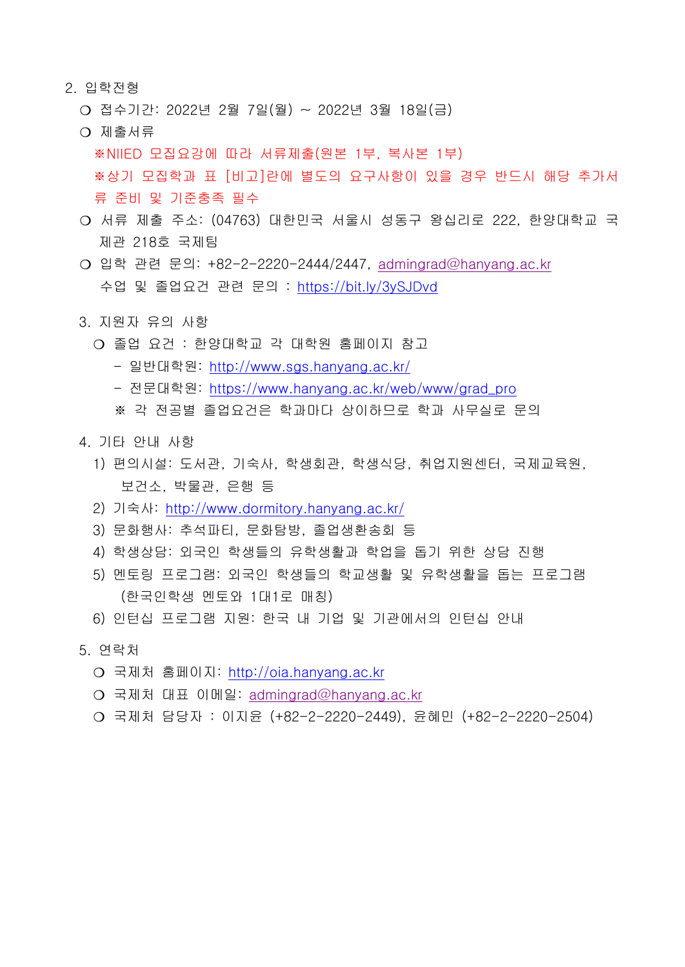- 2. 입학전형
	- ❍ 접수기간: 2022년 2월 7일(월) ~ 2022년 3월 18일(금)
	- ❍ 제출서류

 ※NIIED 모집요강에 따라 서류제출(원본 1부, 복사본 1부) ※상기 모집학과 표 [비고]란에 별도의 요구사항이 있을 경우 반드시 해당 추가서 류 준비 및 기준충족 필수

- ❍ 서류 제출 주소: (04763) 대한민국 서울시 성동구 왕십리로 222, 한양대학교 국 제관 218호 국제팀
- ❍ 입학 관련 문의: +82-2-2220-2444/2447, [admingrad@hanyang.ac.kr](mailto:admingrad@hanyang.ac.kr) 수업 및 졸업요건 관련 문의 : <https://bit.ly/3ySJDvd>
- 3. 지원자 유의 사항
	- ❍ 졸업 요건 : 한양대학교 각 대학원 홈페이지 참고
		- 일반대학원: <http://www.sgs.hanyang.ac.kr/>
		- 전문대학원: [https://www.hanyang.ac.kr/web/www/grad\\_pro](https://www.hanyang.ac.kr/web/www/grad_pro)
		- ※ 각 전공별 졸업요건은 학과마다 상이하므로 학과 사무실로 문의
- 4. 기타 안내 사항
	- 1) 편의시설: 도서관, 기숙사, 학생회관, 학생식당, 취업지원센터, 국제교육원, 보건소, 박물관, 은행 등
	- 2) 기숙사: <http://www.dormitory.hanyang.ac.kr/>
	- 3) 문화행사: 추석파티, 문화탐방, 졸업생환송회 등
	- 4) 학생상담: 외국인 학생들의 유학생활과 학업을 돕기 위한 상담 진행
	- 5) 멘토링 프로그램: 외국인 학생들의 학교생활 및 유학생활을 돕는 프로그램 (한국인학생 멘토와 1대1로 매칭)
	- 6) 인턴십 프로그램 지원: 한국 내 기업 및 기관에서의 인턴십 안내
- 5. 연락처
	- ❍ 국제처 홈페이지: http://oia.hanyang.ac.kr
	- ❍ 국제처 대표 이메일: [admingrad@hanyang.ac.kr](mailto:admingrad@hanyang.ac.kr)
	- ❍ 국제처 담당자 : 이지윤 (+82-2-2220-2449), 윤혜민 (+82-2-2220-2504)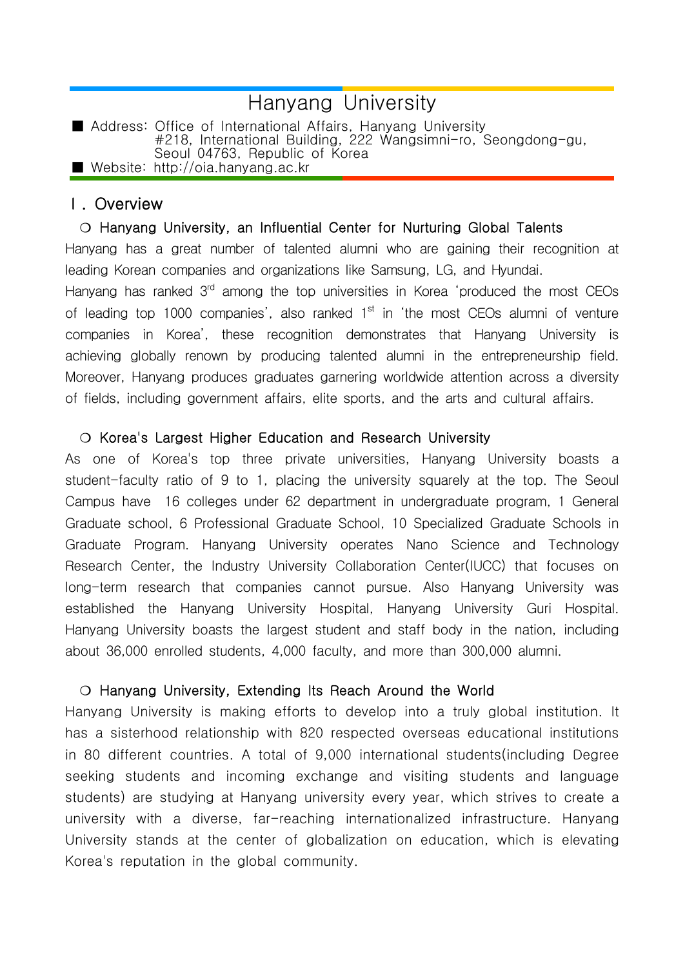# Hanyang University

■ Address: Office of International Affairs, Hanyang University #218, International Building, 222 Wangsimni-ro, Seongdong-gu, Seoul 04763, Republic of Korea ■ Website: http://oia.hanyang.ac.kr

## Ⅰ. Overview

### ❍ Hanyang University, an Influential Center for Nurturing Global Talents

Hanyang has a great number of talented alumni who are gaining their recognition at leading Korean companies and organizations like Samsung, LG, and Hyundai.

Hanyang has ranked 3<sup>rd</sup> among the top universities in Korea 'produced the most CEOs of leading top 1000 companies', also ranked 1<sup>st</sup> in 'the most CEOs alumni of venture companies in Korea', these recognition demonstrates that Hanyang University is achieving globally renown by producing talented alumni in the entrepreneurship field. Moreover, Hanyang produces graduates garnering worldwide attention across a diversity of fields, including government affairs, elite sports, and the arts and cultural affairs.

### ❍ Korea's Largest Higher Education and Research University

As one of Korea's top three private universities, Hanyang University boasts a student-faculty ratio of 9 to 1, placing the university squarely at the top. The Seoul Campus have 16 colleges under 62 department in undergraduate program, 1 General Graduate school, 6 Professional Graduate School, 10 Specialized Graduate Schools in Graduate Program. Hanyang University operates Nano Science and Technology Research Center, the Industry University Collaboration Center(IUCC) that focuses on long-term research that companies cannot pursue. Also Hanyang University was established the Hanyang University Hospital, Hanyang University Guri Hospital. Hanyang University boasts the largest student and staff body in the nation, including about 36,000 enrolled students, 4,000 faculty, and more than 300,000 alumni.

### ❍ Hanyang University, Extending Its Reach Around the World

Hanyang University is making efforts to develop into a truly global institution. It has a sisterhood relationship with 820 respected overseas educational institutions in 80 different countries. A total of 9,000 international students(including Degree seeking students and incoming exchange and visiting students and language students) are studying at Hanyang university every year, which strives to create a university with a diverse, far-reaching internationalized infrastructure. Hanyang University stands at the center of globalization on education, which is elevating Korea's reputation in the global community.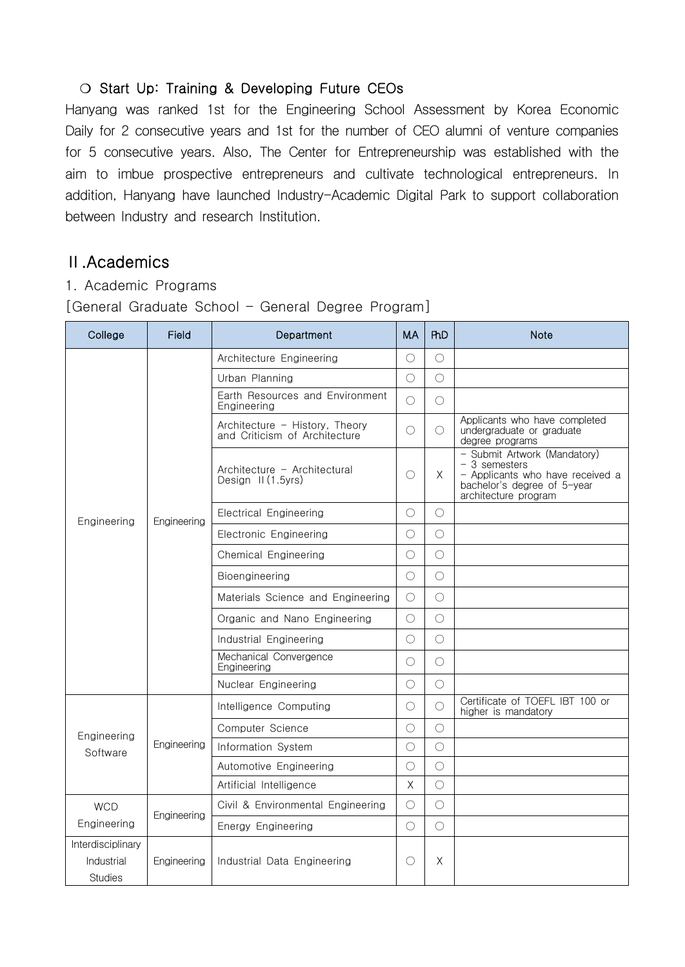## ❍ Start Up: Training & Developing Future CEOs

Hanyang was ranked 1st for the Engineering School Assessment by Korea Economic Daily for 2 consecutive years and 1st for the number of CEO alumni of venture companies for 5 consecutive years. Also, The Center for Entrepreneurship was established with the aim to imbue prospective entrepreneurs and cultivate technological entrepreneurs. In addition, Hanyang have launched Industry-Academic Digital Park to support collaboration between Industry and research Institution.

## Ⅱ.Academics

1. Academic Programs

| College                                           | Field       | Department                                                      | <b>MA</b>  | <b>RD</b>  | <b>Note</b>                                                                                                                               |
|---------------------------------------------------|-------------|-----------------------------------------------------------------|------------|------------|-------------------------------------------------------------------------------------------------------------------------------------------|
|                                                   |             | Architecture Engineering                                        | $\bigcirc$ | $\bigcirc$ |                                                                                                                                           |
|                                                   |             | Urban Planning                                                  | $\bigcirc$ | $\bigcirc$ |                                                                                                                                           |
|                                                   |             | Earth Resources and Environment<br>Engineering                  | $\bigcirc$ | $\bigcirc$ |                                                                                                                                           |
|                                                   |             | Architecture - History, Theory<br>and Criticism of Architecture | $\bigcirc$ | $\bigcirc$ | Applicants who have completed<br>undergraduate or graduate<br>degree programs                                                             |
|                                                   |             | Architecture - Architectural<br>Design $II(1.5yrs)$             | $\bigcirc$ | X          | - Submit Artwork (Mandatory)<br>$-3$ semesters<br>- Applicants who have received a<br>bachelor's degree of 5-year<br>architecture program |
| Engineering                                       | Engineering | <b>Electrical Engineering</b>                                   | $\bigcirc$ | $\bigcirc$ |                                                                                                                                           |
|                                                   |             | <b>Electronic Engineering</b>                                   | $\bigcirc$ | $\bigcirc$ |                                                                                                                                           |
|                                                   |             | Chemical Engineering                                            | $\bigcirc$ | $\bigcirc$ |                                                                                                                                           |
|                                                   |             | Bioengineering                                                  | $\bigcirc$ | $\bigcirc$ |                                                                                                                                           |
|                                                   |             | Materials Science and Engineering                               | $\bigcirc$ | $\bigcirc$ |                                                                                                                                           |
|                                                   |             | Organic and Nano Engineering                                    | $\bigcirc$ | $\bigcirc$ |                                                                                                                                           |
|                                                   |             | Industrial Engineering                                          | $\bigcirc$ | $\bigcirc$ |                                                                                                                                           |
|                                                   |             | Mechanical Convergence<br>Engineering                           | $\bigcirc$ | $\bigcirc$ |                                                                                                                                           |
|                                                   |             | Nuclear Engineering                                             | $\bigcirc$ | $\bigcirc$ |                                                                                                                                           |
|                                                   |             | Intelligence Computing                                          | $\bigcirc$ | $\bigcirc$ | Certificate of TOEFL IBT 100 or<br>higher is mandatory                                                                                    |
| Engineering                                       |             | Computer Science                                                | $\bigcirc$ | $\bigcirc$ |                                                                                                                                           |
| Software                                          | Engineering | Information System                                              | $\bigcirc$ | $\bigcirc$ |                                                                                                                                           |
|                                                   |             | Automotive Engineering                                          | $\bigcirc$ | $\bigcirc$ |                                                                                                                                           |
|                                                   |             | Artificial Intelligence                                         | X          | $\bigcirc$ |                                                                                                                                           |
| <b>WCD</b>                                        | Engineering | Civil & Environmental Engineering                               | $\bigcirc$ | $\bigcirc$ |                                                                                                                                           |
| Engineering                                       |             | Energy Engineering                                              | $\bigcirc$ | $\bigcirc$ |                                                                                                                                           |
| Interdisciplinary<br>Industrial<br><b>Studies</b> | Engineering | Industrial Data Engineering                                     | $\bigcirc$ | Χ          |                                                                                                                                           |

[General Graduate School – General Degree Program]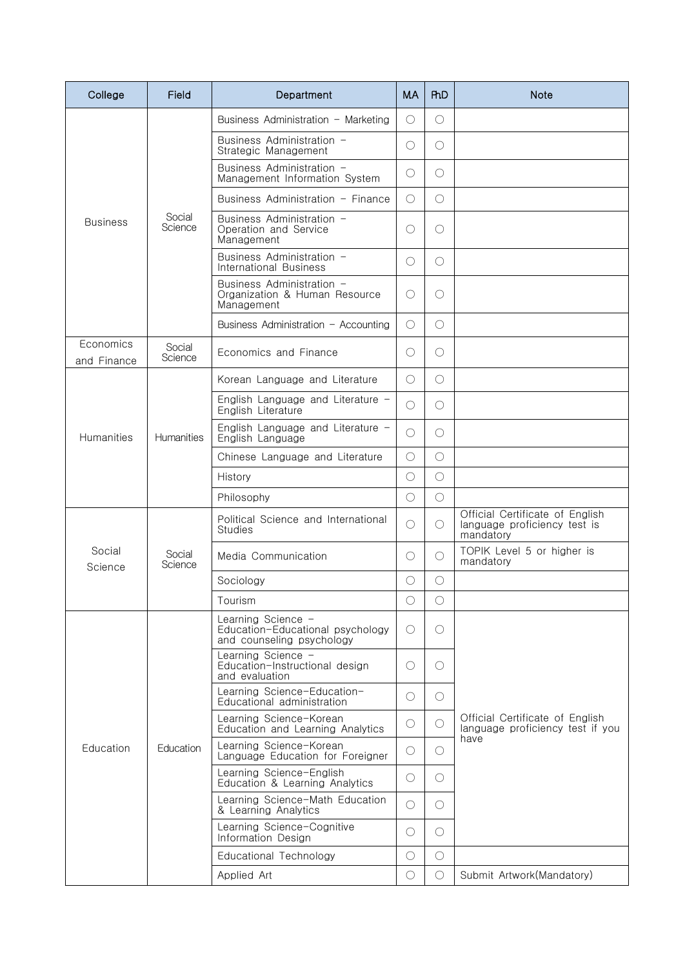| College                  | Field             | Department                                                                          | <b>MA</b>       | <b>RhD</b>      | <b>Note</b>                                                                  |
|--------------------------|-------------------|-------------------------------------------------------------------------------------|-----------------|-----------------|------------------------------------------------------------------------------|
|                          |                   | Business Administration - Marketing                                                 | $\bigcirc$      | O               |                                                                              |
|                          |                   | Business Administration -<br>Strategic Management                                   | O               | $\left(\right)$ |                                                                              |
|                          |                   | Business Administration -<br>Management Information System                          | $\left(\right)$ | $\left(\right)$ |                                                                              |
|                          |                   | Business Administration - Finance                                                   | ◯               | ◯               |                                                                              |
| <b>Business</b>          | Social<br>Science | Business Administration -<br>Operation and Service<br>Management                    | $\bigcirc$      | $\bigcirc$      |                                                                              |
|                          |                   | Business Administration -<br>International Business                                 | ()              | $\left(\right)$ |                                                                              |
|                          |                   | Business Administration -<br>Organization & Human Resource<br>Management            | $\left(\right)$ | $\left(\right)$ |                                                                              |
|                          |                   | Business Administration - Accounting                                                | O               | $\left(\right)$ |                                                                              |
| Economics<br>and Finance | Social<br>Science | Economics and Finance                                                               | $\left(\right)$ | $\left(\right)$ |                                                                              |
|                          |                   | Korean Language and Literature                                                      | O               | ◯               |                                                                              |
|                          | <b>Humanities</b> | English Language and Literature -<br>English Literature                             | ∩               | O               |                                                                              |
| <b>Humanities</b>        |                   | English Language and Literature -<br>English Language                               | ∩               | O               |                                                                              |
|                          |                   | Chinese Language and Literature                                                     | $\bigcirc$      | $\bigcirc$      |                                                                              |
|                          |                   | History                                                                             | $\bigcirc$      | O               |                                                                              |
|                          |                   | Philosophy                                                                          | $\bigcirc$      | $\bigcirc$      |                                                                              |
|                          | Social<br>Science | Political Science and International<br><b>Studies</b>                               | $\left(\right)$ | $\left(\right)$ | Official Certificate of English<br>language proficiency test is<br>mandatory |
| Social<br>Science        |                   | Media Communication                                                                 | $\left(\right)$ | O               | TOPIK Level 5 or higher is<br>mandatory                                      |
|                          |                   | Sociology                                                                           | O               | O               |                                                                              |
|                          |                   | Tourism                                                                             | O               | O               |                                                                              |
|                          |                   | Learning Science -<br>Education-Educational psychology<br>and counseling psychology | $\bigcirc$      | O               |                                                                              |
|                          |                   | Learning Science -<br>Education-Instructional design<br>and evaluation              | ◯               | ◯               |                                                                              |
|                          |                   | Learning Science-Education-<br>Educational administration                           | ◯               | $\left(\right)$ |                                                                              |
|                          |                   | Learning Science-Korean<br>Education and Learning Analytics                         | $\left(\right)$ | $\left(\right)$ | Official Certificate of English<br>language proficiency test if you          |
| Education                | Education         | Learning Science-Korean<br>Language Education for Foreigner                         | O               | O               | have                                                                         |
|                          |                   | Learning Science-English<br>Education & Learning Analytics                          | O               | O               |                                                                              |
|                          |                   | Learning Science-Math Education<br>& Learning Analytics                             | ◯               | O               |                                                                              |
|                          |                   | Learning Science-Cognitive<br>Information Design                                    | $\left(\right)$ | O               |                                                                              |
|                          |                   | <b>Educational Technology</b>                                                       | ∩               | O               |                                                                              |
|                          |                   | Applied Art                                                                         | ∩               | O               | Submit Artwork(Mandatory)                                                    |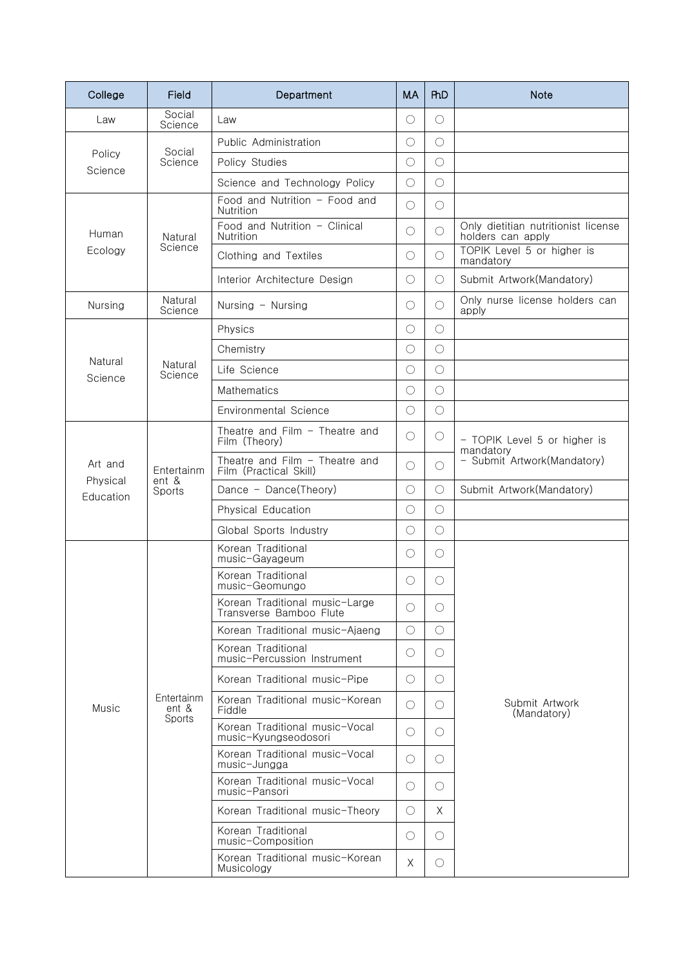| College               | Field                         | Department                                                | <b>MA</b>  | <b>RD</b>  | <b>Note</b>                                              |
|-----------------------|-------------------------------|-----------------------------------------------------------|------------|------------|----------------------------------------------------------|
| Law                   | Social<br>Science             | Law                                                       | $\bigcirc$ | $\bigcirc$ |                                                          |
|                       |                               | Public Administration                                     | $\bigcirc$ | $\bigcirc$ |                                                          |
| Policy<br>Science     | Social<br>Science             | Policy Studies                                            | $\bigcirc$ | $\bigcirc$ |                                                          |
|                       |                               | Science and Technology Policy                             | $\bigcirc$ | $\bigcirc$ |                                                          |
|                       |                               | Food and Nutrition - Food and<br>Nutrition                | $\bigcirc$ | $\bigcirc$ |                                                          |
| Human                 | Natural                       | Food and Nutrition - Clinical<br>Nutrition                | $\bigcirc$ | $\bigcirc$ | Only dietitian nutritionist license<br>holders can apply |
| Ecology               | Science                       | Clothing and Textiles                                     | $\bigcirc$ | $\bigcirc$ | TOPIK Level 5 or higher is<br>mandatory                  |
|                       |                               | Interior Architecture Design                              | $\bigcirc$ | $\bigcirc$ | Submit Artwork(Mandatory)                                |
| Nursing               | Natural<br>Science            | Nursing - Nursing                                         | $\bigcirc$ | $\bigcirc$ | Only nurse license holders can<br>apply                  |
|                       |                               | Physics                                                   | $\bigcirc$ | $\bigcirc$ |                                                          |
|                       |                               | Chemistry                                                 | $\bigcirc$ | $\bigcirc$ |                                                          |
| Natural               | Natural<br>Science            | Life Science                                              | $\bigcirc$ | $\bigcirc$ |                                                          |
| Science               |                               | <b>Mathematics</b>                                        | $\bigcirc$ | $\bigcirc$ |                                                          |
|                       |                               | Environmental Science                                     | $\bigcirc$ | $\bigcirc$ |                                                          |
|                       | Entertainm<br>ent &<br>Sports | Theatre and Film - Theatre and<br>Film (Theory)           | $\bigcirc$ | $\bigcirc$ | - TOPIK Level 5 or higher is                             |
| Art and               |                               | Theatre and Film - Theatre and<br>Film (Practical Skill)  | $\bigcirc$ | $\bigcirc$ | mandatory<br>- Submit Artwork(Mandatory)                 |
| Physical<br>Education |                               | Dance - Dance(Theory)                                     | $\bigcirc$ | $\bigcirc$ | Submit Artwork(Mandatory)                                |
|                       |                               | Physical Education                                        | $\bigcirc$ | $\bigcirc$ |                                                          |
|                       |                               | Global Sports Industry                                    | $\bigcirc$ | $\bigcirc$ |                                                          |
|                       |                               | Korean Traditional<br>music-Gayageum                      | $\bigcirc$ | $\bigcirc$ |                                                          |
|                       |                               | Korean Traditional<br>music-Geomungo                      | $\bigcirc$ | $\bigcirc$ |                                                          |
|                       |                               | Korean Traditional music-Large<br>Transverse Bamboo Flute | $\bigcirc$ | $\bigcirc$ |                                                          |
|                       |                               | Korean Traditional music-Aiaeng                           | $\bigcirc$ | $\bigcirc$ |                                                          |
|                       |                               | Korean Traditional<br>music-Percussion Instrument         | $\bigcirc$ | $\bigcirc$ |                                                          |
|                       |                               | Korean Traditional music-Pipe                             | $\bigcirc$ | $\bigcirc$ |                                                          |
| Music                 | Entertainm<br>ent &           | Korean Traditional music-Korean<br>Fiddle                 | $\bigcirc$ | $\bigcirc$ | Submit Artwork<br>(Mandatory)                            |
|                       | Sports                        | Korean Traditional music-Vocal<br>music-Kyungseodosori    | $\bigcirc$ | $\bigcirc$ |                                                          |
|                       |                               | Korean Traditional music-Vocal<br>music-Jungga            | $\bigcirc$ | $\bigcirc$ |                                                          |
|                       |                               | Korean Traditional music-Vocal<br>music-Pansori           | $\bigcirc$ | O          |                                                          |
|                       |                               | Korean Traditional music-Theory                           | $\bigcirc$ | X          |                                                          |
|                       |                               | Korean Traditional<br>music-Composition                   | $\bigcirc$ | $\bigcirc$ |                                                          |
|                       |                               | Korean Traditional music-Korean<br>Musicology             | X          | O          |                                                          |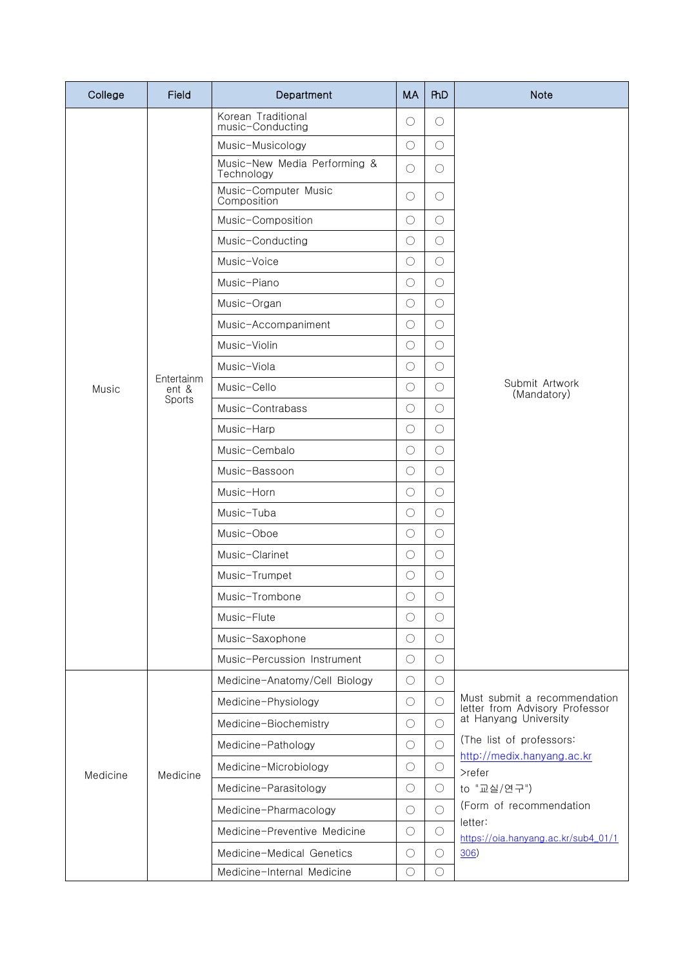| College  | Field               | Department                                 | <b>MA</b>  | <b>RD</b>  | <b>Note</b>                                             |
|----------|---------------------|--------------------------------------------|------------|------------|---------------------------------------------------------|
|          |                     | Korean Traditional<br>music-Conducting     | $\bigcirc$ | $\bigcirc$ |                                                         |
|          |                     | Music-Musicology                           | $\bigcirc$ | $\bigcirc$ |                                                         |
|          |                     | Music-New Media Performing &<br>Technology | O          | O          |                                                         |
|          |                     | Music-Computer Music<br>Composition        | O          | $\bigcirc$ |                                                         |
|          |                     | Music-Composition                          | $\bigcirc$ | $\bigcirc$ |                                                         |
|          |                     | Music-Conducting                           | $\bigcirc$ | $\bigcirc$ |                                                         |
|          |                     | Music-Voice                                | $\bigcirc$ | $\bigcirc$ |                                                         |
|          |                     | Music-Piano                                | $\bigcirc$ | $\bigcirc$ |                                                         |
|          |                     | Music-Organ                                | $\bigcirc$ | $\bigcirc$ |                                                         |
|          |                     | Music-Accompaniment                        | $\bigcirc$ | $\bigcirc$ |                                                         |
|          |                     | Music-Violin                               | $\bigcirc$ | $\bigcirc$ |                                                         |
|          |                     | Music-Viola                                | $\bigcirc$ | $\bigcirc$ |                                                         |
| Music    | Entertainm<br>ent & | Music-Cello                                | $\bigcirc$ | $\bigcirc$ | Submit Artwork<br>(Mandatory)                           |
|          | Sports              | Music-Contrabass                           | $\bigcirc$ | $\bigcirc$ |                                                         |
|          |                     | Music-Harp                                 | $\bigcirc$ | $\bigcirc$ |                                                         |
|          |                     | Music-Cembalo                              | $\bigcirc$ | $\bigcirc$ |                                                         |
|          |                     | Music-Bassoon                              | $\bigcirc$ | $\bigcirc$ |                                                         |
|          |                     | Music-Horn                                 | $\bigcirc$ | $\bigcirc$ |                                                         |
|          |                     | Music-Tuba                                 | $\bigcirc$ | $\bigcirc$ |                                                         |
|          |                     | Music-Oboe                                 | O          | $\bigcirc$ |                                                         |
|          |                     | Music-Clarinet                             | O          | $\bigcirc$ |                                                         |
|          |                     | Music-Trumpet                              | O          | $\bigcirc$ |                                                         |
|          |                     | Music-Trombone                             | $\bigcirc$ | $\bigcirc$ |                                                         |
|          |                     | Music-Flute                                | O          | $\bigcirc$ |                                                         |
|          |                     | Music-Saxophone                            | $\bigcirc$ | $\bigcirc$ |                                                         |
|          |                     | Music-Percussion Instrument                | $\bigcirc$ | $\bigcirc$ |                                                         |
|          |                     | Medicine-Anatomy/Cell Biology              | $\bigcirc$ | $\bigcirc$ |                                                         |
|          |                     | Medicine-Physiology                        | $\bigcirc$ | $\bigcirc$ | Must submit a recommendation                            |
|          |                     | Medicine-Biochemistry                      | $\bigcirc$ | $\bigcirc$ | letter from Advisory Professor<br>at Hanyang University |
|          |                     | Medicine-Pathology                         | $\bigcirc$ | $\bigcirc$ | (The list of professors:                                |
| Medicine | Medicine            | Medicine-Microbiology                      | $\bigcirc$ | $\bigcirc$ | http://medix.hanyang.ac.kr<br>$\rho$ refer              |
|          |                     | Medicine-Parasitology                      | $\bigcirc$ | $\bigcirc$ | to "교실/연구")                                             |
|          |                     | Medicine-Pharmacology                      | $\bigcirc$ | $\bigcirc$ | (Form of recommendation                                 |
|          |                     | Medicine-Preventive Medicine               | O          | $\bigcirc$ | letter:<br>https://oia.hanyang.ac.kr/sub4_01/1          |
|          |                     | Medicine-Medical Genetics                  | $\bigcirc$ | $\bigcirc$ | 306)                                                    |
|          |                     | Medicine-Internal Medicine                 | $\bigcirc$ | $\bigcirc$ |                                                         |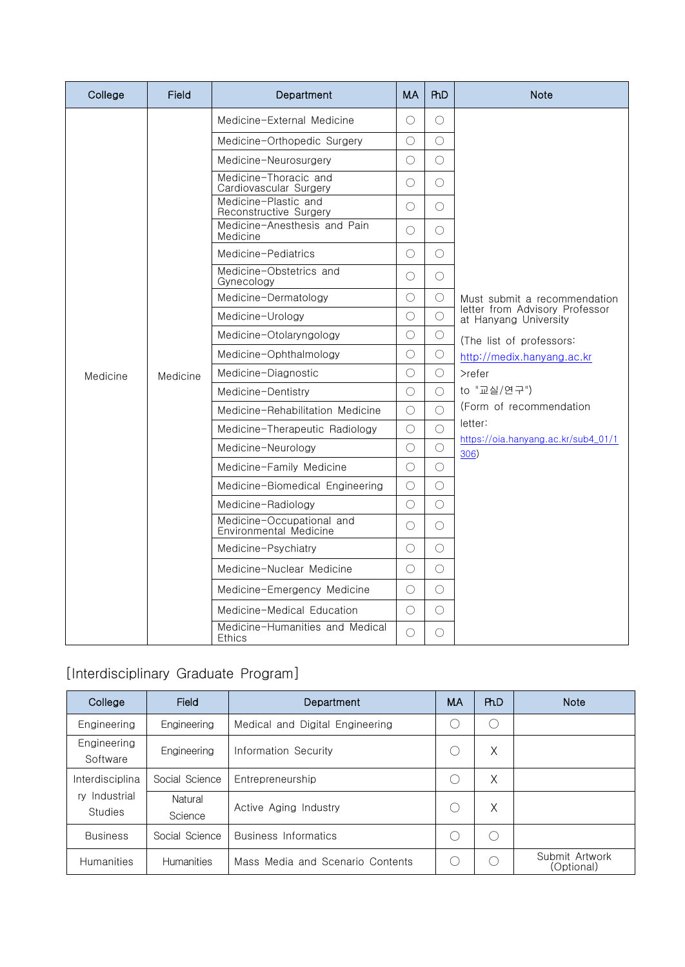| College  | Field    | Department                                          | МA         | <b>RhD</b> | <b>Note</b>                                             |  |  |  |  |
|----------|----------|-----------------------------------------------------|------------|------------|---------------------------------------------------------|--|--|--|--|
|          |          | Medicine-External Medicine                          | $\bigcirc$ | $\bigcirc$ |                                                         |  |  |  |  |
|          |          | Medicine-Orthopedic Surgery                         | $\bigcirc$ | $\bigcirc$ |                                                         |  |  |  |  |
|          |          | Medicine-Neurosurgery                               | $\bigcirc$ | $\bigcirc$ |                                                         |  |  |  |  |
|          |          | Medicine-Thoracic and<br>Cardiovascular Surgery     | $\bigcirc$ | $\bigcirc$ |                                                         |  |  |  |  |
|          |          | Medicine-Plastic and<br>Reconstructive Surgery      | ∩          | $\bigcirc$ |                                                         |  |  |  |  |
|          |          | Medicine-Anesthesis and Pain<br>Medicine            | ∩          | ∩          |                                                         |  |  |  |  |
|          |          | Medicine-Pediatrics                                 | O          | $\bigcirc$ |                                                         |  |  |  |  |
|          |          | Medicine-Obstetrics and<br>Gynecology               | ∩          | ∩          |                                                         |  |  |  |  |
|          |          | Medicine-Dermatology                                | ◯          | О          | Must submit a recommendation                            |  |  |  |  |
|          |          | Medicine-Urology                                    | $\bigcirc$ | $\bigcirc$ | letter from Advisory Professor<br>at Hanyang University |  |  |  |  |
|          |          | Medicine-Otolaryngology                             | O          | $\bigcirc$ | (The list of professors:                                |  |  |  |  |
|          |          | Medicine-Ophthalmology                              | O          | $\bigcirc$ | http://medix.hanyang.ac.kr                              |  |  |  |  |
| Medicine | Medicine | Medicine-Diagnostic                                 | O          | $\bigcirc$ | $\rho$ refer                                            |  |  |  |  |
|          |          | Medicine-Dentistry                                  | ∩          | ∩          | to "교실/연구")                                             |  |  |  |  |
|          |          | Medicine-Rehabilitation Medicine                    | ∩          | $\bigcirc$ | (Form of recommendation                                 |  |  |  |  |
|          |          | Medicine-Therapeutic Radiology                      | ∩          | $\bigcirc$ | letter:                                                 |  |  |  |  |
|          |          | Medicine-Neurology                                  | $\bigcirc$ | $\bigcirc$ | https://oia.hanyang.ac.kr/sub4_01/1<br>306)             |  |  |  |  |
|          |          | Medicine-Family Medicine                            | $\bigcirc$ | $\bigcirc$ |                                                         |  |  |  |  |
|          |          | Medicine-Biomedical Engineering                     | $\bigcirc$ | $\bigcirc$ |                                                         |  |  |  |  |
|          |          | Medicine-Radiology                                  | ∩          | $\bigcirc$ |                                                         |  |  |  |  |
|          |          | Medicine-Occupational and<br>Environmental Medicine | O          | $\bigcirc$ |                                                         |  |  |  |  |
|          |          | Medicine-Psychiatry                                 | $\bigcirc$ | $\bigcirc$ |                                                         |  |  |  |  |
|          |          | Medicine-Nuclear Medicine                           | O          | $\bigcirc$ |                                                         |  |  |  |  |
|          |          | Medicine-Emergency Medicine                         | ∩          | ∩          |                                                         |  |  |  |  |
|          |          | Medicine-Medical Education                          | $\bigcirc$ | $\bigcirc$ |                                                         |  |  |  |  |
|          |          | Medicine-Humanities and Medical<br><b>Ethics</b>    | ∩          | $\bigcirc$ |                                                         |  |  |  |  |

# [Interdisciplinary Graduate Program]

| College                            | Field              | Department                       | <b>MA</b>                                     | <b>Ph.D</b>                                   | <b>Note</b>                  |
|------------------------------------|--------------------|----------------------------------|-----------------------------------------------|-----------------------------------------------|------------------------------|
| Engineering                        | Engineering        | Medical and Digital Engineering  |                                               | $\left($                                      |                              |
| Engineering<br>Software            | Engineering        | Information Security             | $\left(\begin{array}{c} \end{array}\right)$   | X                                             |                              |
| Interdisciplina                    | Social Science     | Entrepreneurship                 | $\left( \begin{array}{c} \end{array} \right)$ | X                                             |                              |
| Industrial<br>rv<br><b>Studies</b> | Natural<br>Science | Active Aging Industry            | C                                             | X                                             |                              |
| <b>Business</b>                    | Social Science     | Business Informatics             | $\left(\cdot\right)$                          | $\left( \begin{array}{c} \end{array} \right)$ |                              |
| <b>Humanities</b>                  | <b>Humanities</b>  | Mass Media and Scenario Contents | $\left(\begin{array}{c} \end{array}\right)$   | $\left($                                      | Submit Artwork<br>(Optional) |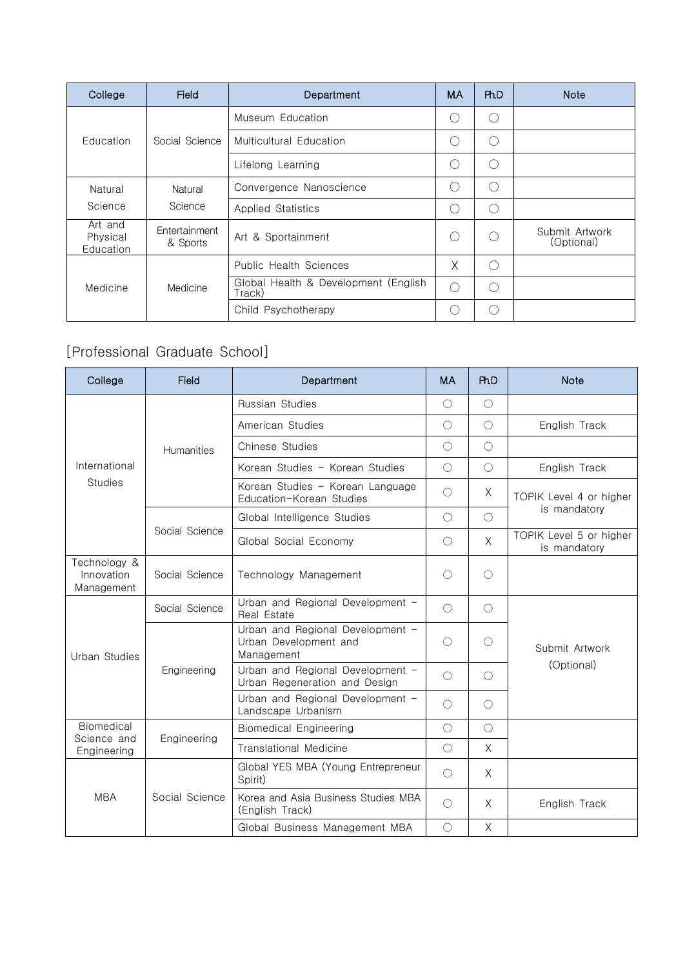| College                          | Field                     | Department                                     | <b>MA</b>                                     | Ph.D                                        | <b>Note</b>                  |
|----------------------------------|---------------------------|------------------------------------------------|-----------------------------------------------|---------------------------------------------|------------------------------|
| Education                        | Social Science            | Museum Education                               | O                                             | $\left( \quad \right)$                      |                              |
|                                  |                           | Multicultural Education                        | $\left( \begin{array}{c} \end{array} \right)$ | $\left(\begin{array}{c} \end{array}\right)$ |                              |
|                                  |                           | Lifelong Learning                              | С                                             | C                                           |                              |
| Natural<br>Science               | Natural<br>Science        | Convergence Nanoscience                        | С                                             | C                                           |                              |
|                                  |                           | Applied Statistics                             | ⊖                                             | $\left(\begin{array}{c} \end{array}\right)$ |                              |
| Art and<br>Physical<br>Education | Entertainment<br>& Sports | Art & Sportainment                             | $(\ )$                                        | $\subset$                                   | Submit Artwork<br>(Optional) |
| Medicine                         | Medicine                  | Public Health Sciences                         | X                                             | C                                           |                              |
|                                  |                           | Global Health & Development (English<br>Track) | C                                             | C                                           |                              |
|                                  |                           | Child Psychotherapy                            |                                               |                                             |                              |

## [Professional Graduate School]

| College                                  | Field             | Department                                                              | <b>MA</b>  | <b>Ph.D</b> | <b>Note</b>                             |
|------------------------------------------|-------------------|-------------------------------------------------------------------------|------------|-------------|-----------------------------------------|
| International<br><b>Studies</b>          | <b>Humanities</b> | Russian Studies                                                         | $\bigcirc$ | $\bigcirc$  |                                         |
|                                          |                   | American Studies                                                        | $\bigcirc$ | $\bigcirc$  | English Track                           |
|                                          |                   | Chinese Studies                                                         | $\bigcirc$ | $\bigcirc$  |                                         |
|                                          |                   | Korean Studies - Korean Studies                                         | $\bigcirc$ | $\bigcirc$  | English Track                           |
|                                          |                   | Korean Studies - Korean Language<br>Education-Korean Studies            | $\bigcirc$ | X           | TOPIK Level 4 or higher<br>is mandatory |
|                                          | Social Science    | Global Intelligence Studies                                             | $\bigcirc$ | $\bigcirc$  |                                         |
|                                          |                   | Global Social Economy                                                   | $\bigcirc$ | $\times$    | TOPIK Level 5 or higher<br>is mandatory |
| Technology &<br>Innovation<br>Management | Social Science    | Technology Management                                                   | $\bigcirc$ | $\bigcirc$  |                                         |
| Urban Studies                            | Social Science    | Urban and Regional Development -<br>Real Estate                         | $\bigcirc$ | $\bigcirc$  | Submit Artwork<br>(Optional)            |
|                                          | Engineering       | Urban and Regional Development -<br>Urban Development and<br>Management | $\bigcirc$ | $\bigcirc$  |                                         |
|                                          |                   | Urban and Regional Development -<br>Urban Regeneration and Design       | $\bigcirc$ | $\bigcirc$  |                                         |
|                                          |                   | Urban and Regional Development -<br>Landscape Urbanism                  | $\bigcirc$ | $\bigcirc$  |                                         |
| Biomedical<br>Science and<br>Engineering | Engineering       | <b>Biomedical Engineering</b>                                           | $\bigcirc$ | $\bigcirc$  |                                         |
|                                          |                   | Translational Medicine                                                  | $\bigcirc$ | $\times$    |                                         |
| <b>MBA</b>                               | Social Science    | Global YES MBA (Young Entrepreneur<br>Spirit)                           | $\bigcirc$ | X           |                                         |
|                                          |                   | Korea and Asia Business Studies MBA<br>(English Track)                  | $\bigcirc$ | $\times$    | English Track                           |
|                                          |                   | Global Business Management MBA                                          | $\bigcirc$ | $\times$    |                                         |